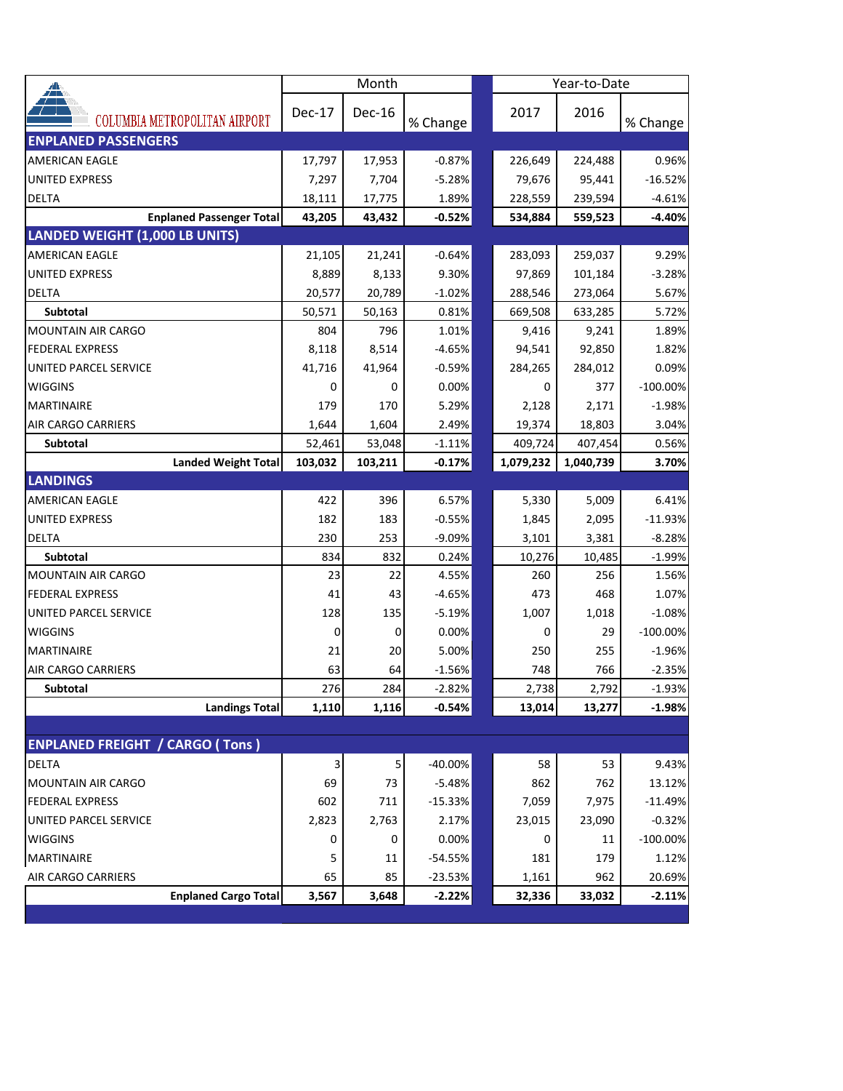| <mark>∡</mark>                         | Month   |         |           |  | Year-to-Date |           |             |
|----------------------------------------|---------|---------|-----------|--|--------------|-----------|-------------|
| 7 T<br>COLUMBIA METROPOLITAN AIRPORT   | Dec-17  | Dec-16  | % Change  |  | 2017         | 2016      | % Change    |
| <b>ENPLANED PASSENGERS</b>             |         |         |           |  |              |           |             |
| <b>AMERICAN EAGLE</b>                  | 17,797  | 17,953  | $-0.87%$  |  | 226,649      | 224,488   | 0.96%       |
| <b>UNITED EXPRESS</b>                  | 7,297   | 7,704   | $-5.28%$  |  | 79,676       | 95,441    | $-16.52%$   |
| <b>DELTA</b>                           | 18,111  | 17,775  | 1.89%     |  | 228,559      | 239,594   | $-4.61%$    |
| <b>Enplaned Passenger Total</b>        | 43,205  | 43,432  | $-0.52%$  |  | 534,884      | 559,523   | $-4.40%$    |
| LANDED WEIGHT (1,000 LB UNITS)         |         |         |           |  |              |           |             |
| AMERICAN EAGLE                         | 21,105  | 21,241  | $-0.64%$  |  | 283,093      | 259,037   | 9.29%       |
| <b>UNITED EXPRESS</b>                  | 8,889   | 8,133   | 9.30%     |  | 97,869       | 101,184   | $-3.28%$    |
| <b>DELTA</b>                           | 20,577  | 20,789  | $-1.02%$  |  | 288,546      | 273,064   | 5.67%       |
| <b>Subtotal</b>                        | 50,571  | 50,163  | 0.81%     |  | 669,508      | 633,285   | 5.72%       |
| <b>MOUNTAIN AIR CARGO</b>              | 804     | 796     | 1.01%     |  | 9,416        | 9,241     | 1.89%       |
| <b>FEDERAL EXPRESS</b>                 | 8,118   | 8,514   | $-4.65%$  |  | 94,541       | 92,850    | 1.82%       |
| UNITED PARCEL SERVICE                  | 41,716  | 41,964  | $-0.59%$  |  | 284,265      | 284,012   | 0.09%       |
| <b>WIGGINS</b>                         | 0       | 0       | 0.00%     |  | 0            | 377       | $-100.00\%$ |
| <b>MARTINAIRE</b>                      | 179     | 170     | 5.29%     |  | 2,128        | 2,171     | $-1.98%$    |
| AIR CARGO CARRIERS                     | 1,644   | 1,604   | 2.49%     |  | 19,374       | 18,803    | 3.04%       |
| Subtotal                               | 52,461  | 53,048  | $-1.11%$  |  | 409,724      | 407,454   | 0.56%       |
| <b>Landed Weight Total</b>             | 103,032 | 103,211 | $-0.17%$  |  | 1,079,232    | 1,040,739 | 3.70%       |
| <b>LANDINGS</b>                        |         |         |           |  |              |           |             |
| <b>AMERICAN EAGLE</b>                  | 422     | 396     | 6.57%     |  | 5,330        | 5,009     | 6.41%       |
| UNITED EXPRESS                         | 182     | 183     | $-0.55%$  |  | 1,845        | 2,095     | $-11.93%$   |
| DELTA                                  | 230     | 253     | $-9.09%$  |  | 3,101        | 3,381     | $-8.28%$    |
| Subtotal                               | 834     | 832     | 0.24%     |  | 10,276       | 10,485    | $-1.99%$    |
| <b>MOUNTAIN AIR CARGO</b>              | 23      | 22      | 4.55%     |  | 260          | 256       | 1.56%       |
| <b>FEDERAL EXPRESS</b>                 | 41      | 43      | $-4.65%$  |  | 473          | 468       | 1.07%       |
| UNITED PARCEL SERVICE                  | 128     | 135     | $-5.19%$  |  | 1,007        | 1,018     | $-1.08%$    |
| <b>WIGGINS</b>                         | 0       | 0       | 0.00%     |  | 0            | 29        | $-100.00\%$ |
| <b>MARTINAIRE</b>                      | 21      | 20      | 5.00%     |  | 250          | 255       | $-1.96%$    |
| AIR CARGO CARRIERS                     | 63      | 64      | $-1.56%$  |  | 748          | 766       | $-2.35%$    |
| <b>Subtotal</b>                        | 276     | 284     | $-2.82%$  |  | 2.738        | 2.792     | $-1.93%$    |
| <b>Landings Total</b>                  | 1,110   | 1,116   | $-0.54%$  |  | 13,014       | 13,277    | $-1.98%$    |
|                                        |         |         |           |  |              |           |             |
| <b>ENPLANED FREIGHT / CARGO (Tons)</b> |         |         |           |  |              |           |             |
| <b>DELTA</b>                           | 3       | 5       | $-40.00%$ |  | 58           | 53        | 9.43%       |
| MOUNTAIN AIR CARGO                     | 69      | 73      | $-5.48%$  |  | 862          | 762       | 13.12%      |
| <b>FEDERAL EXPRESS</b>                 | 602     | 711     | $-15.33%$ |  | 7,059        | 7,975     | $-11.49%$   |
| UNITED PARCEL SERVICE                  | 2,823   | 2,763   | 2.17%     |  | 23,015       | 23,090    | $-0.32%$    |
| <b>WIGGINS</b>                         | 0       | 0       | 0.00%     |  | 0            | 11        | $-100.00\%$ |
| MARTINAIRE                             | 5       | 11      | -54.55%   |  | 181          | 179       | 1.12%       |
| AIR CARGO CARRIERS                     | 65      | 85      | $-23.53%$ |  | 1,161        | 962       | 20.69%      |
| <b>Enplaned Cargo Total</b>            | 3,567   | 3,648   | $-2.22%$  |  | 32,336       | 33,032    | $-2.11%$    |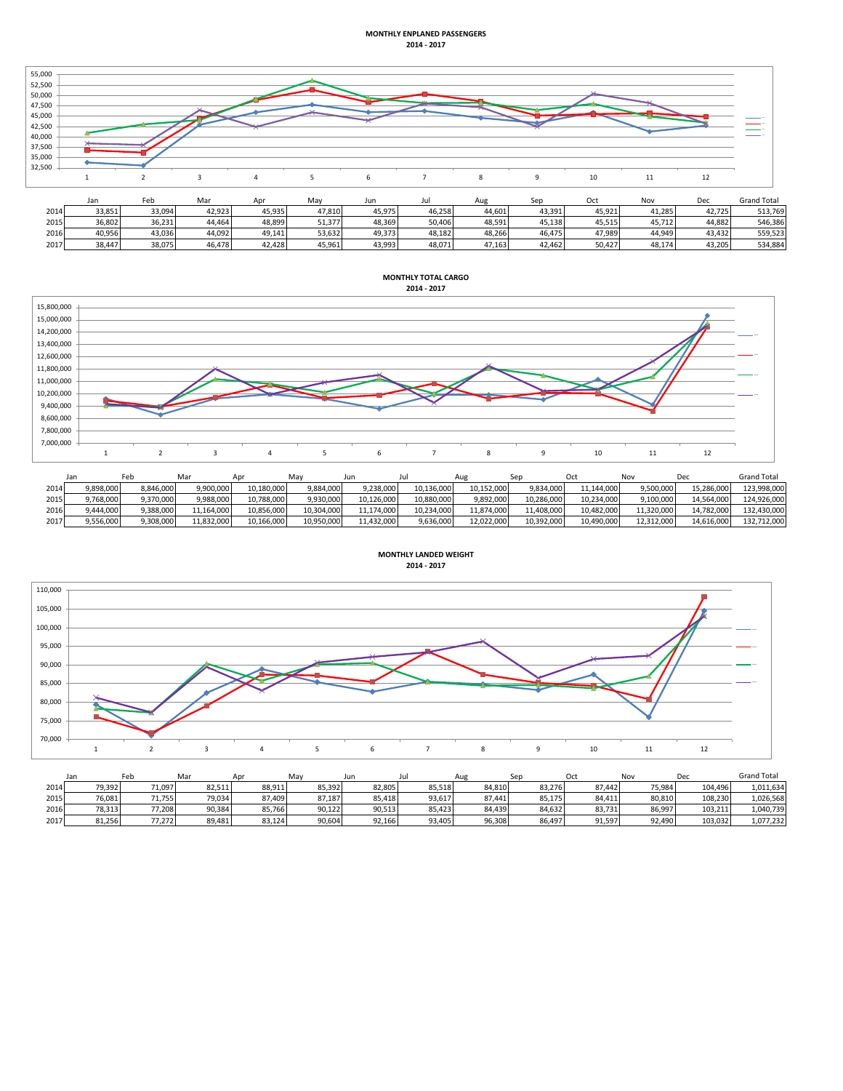## **MONTHLY ENPLANED PASSENGERS 2014 - 2017**



|      | <b>JUIL</b> | ື      |        | <b>LIN</b> |        | ,,,,,  | --     | <i>rus</i> | <u>JLM</u> | ັບເເ   |        | レー     | <b>UIUIU IULUI</b> |
|------|-------------|--------|--------|------------|--------|--------|--------|------------|------------|--------|--------|--------|--------------------|
| 2014 | 33.851      | 33.094 | 42,923 | 45.935     | 47.810 | 45.975 | 46.258 | 44.601     | 43.391     | 45.921 | 41.285 | 42.725 | 513.769            |
| 2015 | 36,802      | 36.231 | 44.464 | 48.899     | 51.377 | 48.369 | 50.406 | 48.591     | 45.138     | 45.515 | 45.712 | 44.882 | 546.386            |
| 2016 | 40,956      | 43.036 | 44,092 | 49.141     | 53,632 | 49.373 | 48.182 | 48.266     | 46.475     | 47.989 | 44.949 | 43.432 | 559.523            |
| 2017 | 38.447      | 38.075 | 46.478 | 42.428     | 45.961 | 43.993 | 48.071 | 47.163     | 42.462     | 50.427 | 48,174 | 43.205 | 534,884            |



|      |           |           | Mar        | Apr        | Mav        | Jun        |            | Aug        |            |            | Nov        | Dec        | <b>Grand Total</b> |
|------|-----------|-----------|------------|------------|------------|------------|------------|------------|------------|------------|------------|------------|--------------------|
| 2014 | 9.898.000 | 8.846.000 | 9,900,000  | 10.180.000 | 9.884.000  | 9.238.000  | 10,136,000 | 10.152.000 | 9,834,000  | 11.144.000 | 9.500.000  | 15,286,000 | 123.998.000        |
| 2015 | 9.768.000 | 9,370,000 | 9.988.000  | 10.788.000 | 9.930.000  | 10.126.000 | 10.880.000 | 9,892,000  | 10.286.000 | 10.234.000 | 9.100.000  | 14.564.000 | 124.926.000        |
| 2016 | 9,444,000 | 9,388,000 | 11,164,000 | 10,856,000 | 10,304,000 | 11,174,000 | 10,234,000 | 11,874,000 | 11,408,000 | 10,482,000 | 11,320,000 | 14,782,000 | 132,430,000        |
| 2017 | 9,556,000 | 9,308,000 | 11,832,000 | 10,166,000 | 10,950,000 | 11,432,000 | 9,636,000  | 12,022,000 | 10,392,000 | 10,490,000 | 12,312,000 | 14,616,000 | 132,712,000        |



| <b>MONTHLY LANDED WEIGHT</b> |
|------------------------------|
| 2014 - 2017                  |
|                              |

|      | Jan    | Fel    | Mar    | Apr    | May    | Jun    | JUI    | Aug    |        |        | Nov    | Dec     | <b>Grand Total</b> |
|------|--------|--------|--------|--------|--------|--------|--------|--------|--------|--------|--------|---------|--------------------|
| 2014 | 79,392 | 71,097 | 82,511 | 88,911 | 85,392 | 82,805 | 85,518 | 84,810 | 83,276 | 87.442 | 75,984 | 104,496 | 1,011,634          |
| 2015 | 76.081 | 71.755 | 79.034 | 87.409 | 87.187 | 85.418 | 93.617 | 87.441 | 85,175 | 84.411 | 80.810 | 108.230 | 1,026,568          |
| 2016 | 78,313 | 77.208 | 90.384 | 85,766 | 90,122 | 90,513 | 85,423 | 84,439 | 84,632 | 83,731 | 86,997 | 103.211 | 1,040,739          |
| 2017 | 81,256 | 77.272 | 89,481 | 83,124 | 90,604 | 92,166 | 93,405 | 96,308 | 86,497 | 91,597 | 92,490 | 103,032 | 1,077,232          |